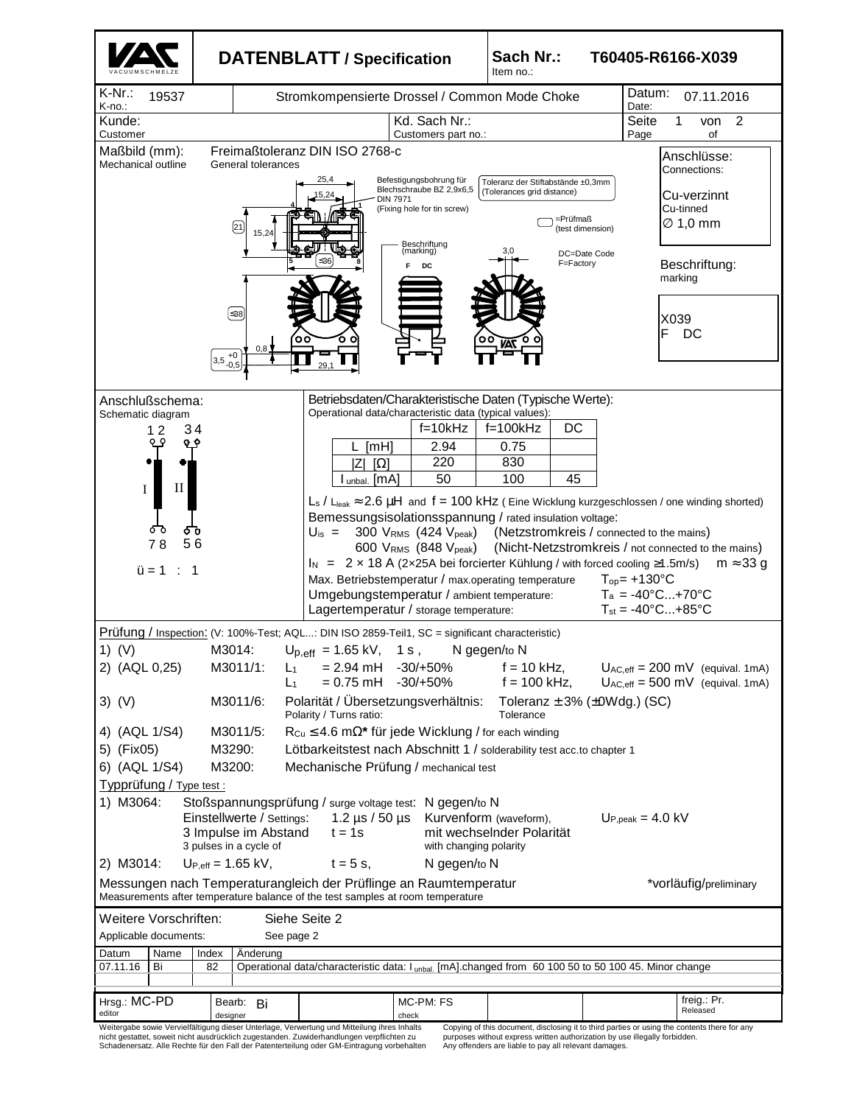|                                                                                                                                                                                                                                                                                                                                                                        |                                                                                                                      | <b>DATENBLATT / Specification</b>                                                                                                                                                                   |                                                                                                                 | Sach Nr.:<br>T60405-R6166-X039<br>Item no.:                                                                                                                                                  |  |                                                                                                                                                                                                                                                                                                                   |  |  |
|------------------------------------------------------------------------------------------------------------------------------------------------------------------------------------------------------------------------------------------------------------------------------------------------------------------------------------------------------------------------|----------------------------------------------------------------------------------------------------------------------|-----------------------------------------------------------------------------------------------------------------------------------------------------------------------------------------------------|-----------------------------------------------------------------------------------------------------------------|----------------------------------------------------------------------------------------------------------------------------------------------------------------------------------------------|--|-------------------------------------------------------------------------------------------------------------------------------------------------------------------------------------------------------------------------------------------------------------------------------------------------------------------|--|--|
| $K-Nr$ .:<br>19537<br>K-no.:                                                                                                                                                                                                                                                                                                                                           |                                                                                                                      | Stromkompensierte Drossel / Common Mode Choke                                                                                                                                                       |                                                                                                                 | Datum:<br>07.11.2016<br>Date:                                                                                                                                                                |  |                                                                                                                                                                                                                                                                                                                   |  |  |
| Kunde:<br>Customer                                                                                                                                                                                                                                                                                                                                                     |                                                                                                                      | Kd. Sach Nr.:                                                                                                                                                                                       |                                                                                                                 | Seite<br>2<br>1<br>von<br>Page<br>of                                                                                                                                                         |  |                                                                                                                                                                                                                                                                                                                   |  |  |
| Maßbild (mm):<br>Mechanical outline                                                                                                                                                                                                                                                                                                                                    | General tolerances                                                                                                   | Freimaßtoleranz DIN ISO 2768-c                                                                                                                                                                      | Customers part no.:                                                                                             |                                                                                                                                                                                              |  | Anschlüsse:<br>Connections:                                                                                                                                                                                                                                                                                       |  |  |
|                                                                                                                                                                                                                                                                                                                                                                        | $\left[21\right]$<br>15,24                                                                                           | 25,4<br><b>DIN 7971</b>                                                                                                                                                                             | Befestigungsbohrung für<br>Blechschraube BZ 2,9x6,5<br>(Fixing hole for tin screw)<br>Beschriftung<br>(marking) | Toleranz der Stiftabstände ±0.3mm<br>(Tolerances grid distance)<br>=Prüfmaß<br>(test dimension)                                                                                              |  | Cu-verzinnt<br>Cu-tinned<br>$\varnothing$ 1,0 mm                                                                                                                                                                                                                                                                  |  |  |
|                                                                                                                                                                                                                                                                                                                                                                        |                                                                                                                      |                                                                                                                                                                                                     | DC                                                                                                              | 3.0<br>DC=Date Code<br>F=Factory                                                                                                                                                             |  | Beschriftung:<br>marking                                                                                                                                                                                                                                                                                          |  |  |
|                                                                                                                                                                                                                                                                                                                                                                        | ∫≤38<br>0,8<br>$+0$<br>3,5<br>$-0,5$                                                                                 | oс                                                                                                                                                                                                  |                                                                                                                 |                                                                                                                                                                                              |  | X039<br>F<br>DC                                                                                                                                                                                                                                                                                                   |  |  |
| Anschlußschema:<br>Schematic diagram<br>34<br>12<br>П                                                                                                                                                                                                                                                                                                                  |                                                                                                                      | Operational data/characteristic data (typical values):<br>[TH]<br>ΙZΙ<br>$[\Omega]$<br>I unbal. [MA]                                                                                                | $f=10kHz$<br>2.94<br>220<br>50                                                                                  | Betriebsdaten/Charakteristische Daten (Typische Werte):<br>DC<br>$f=100kHz$<br>0.75<br>830<br>100<br>45                                                                                      |  |                                                                                                                                                                                                                                                                                                                   |  |  |
| I<br>ᅌ៰<br>78<br>56<br>$ü = 1$<br>$\div$ 1                                                                                                                                                                                                                                                                                                                             |                                                                                                                      | $U_{\rm is} = 300 V_{\rm RMS}$ (424 $V_{\rm peak}$ )<br>Max. Betriebstemperatur / max.operating temperature<br>Umgebungstemperatur / ambient temperature:<br>Lagertemperatur / storage temperature: | 600 VRMS (848 V <sub>peak</sub> )                                                                               | Bemessungsisolationsspannung / rated insulation voltage:<br>(Netzstromkreis / connected to the mains)<br>$I_N$ = 2 x 18 A (2x25A bei forcierter Kühlung / with forced cooling $\geq$ 1.5m/s) |  | $L_s$ / $L_{\text{leak}} \approx 2.6 \mu H$ and $f = 100 \text{ kHz}$ (Eine Wicklung kurzgeschlossen / one winding shorted)<br>(Nicht-Netzstromkreis / not connected to the mains)<br>$m \approx 33$ g<br>$T_{op}$ = +130 $^{\circ}$ C<br>$T_a = -40^{\circ}C+70^{\circ}C$<br>$T_{st} = -40^{\circ}C+85^{\circ}C$ |  |  |
| $1)$ (V)                                                                                                                                                                                                                                                                                                                                                               | Prüfung / Inspection: (V: 100%-Test; AQL: DIN ISO 2859-Teil1, SC = significant characteristic)<br>M3014:             | $U_{p,eff}$ = 1.65 kV, 1 s,                                                                                                                                                                         |                                                                                                                 | N gegen/to N                                                                                                                                                                                 |  |                                                                                                                                                                                                                                                                                                                   |  |  |
| 2) (AQL 0,25)<br>3) (V)                                                                                                                                                                                                                                                                                                                                                | M3011/1:<br>$L_1$<br>L <sub>1</sub><br>M3011/6:                                                                      | $= 2.94 \text{ mH}$ -30/+50%<br>$= 0.75$ mH $-30/+50\%$<br>Polarität / Übersetzungsverhältnis:                                                                                                      |                                                                                                                 | $f = 10$ kHz,<br>$f = 100$ kHz,<br>Toleranz $\pm$ 3% ( $\pm$ 0Wdg.) (SC)                                                                                                                     |  | $U_{AC,eff}$ = 200 mV (equival. 1mA)<br>$U_{AC,eff} = 500$ mV (equival. 1mA)                                                                                                                                                                                                                                      |  |  |
| Polarity / Turns ratio:<br>Tolerance<br>4) (AQL 1/S4)<br>M3011/5:<br>$R_{Cu} \leq 4.6$ m $\Omega^*$ für jede Wicklung / for each winding<br>5) (Fix05)<br>M3290:<br>Lötbarkeitstest nach Abschnitt 1 / solderability test acc.to chapter 1<br>6) (AQL 1/S4)<br>M3200:<br>Mechanische Prüfung / mechanical test<br>Typprüfung / Type test :                             |                                                                                                                      |                                                                                                                                                                                                     |                                                                                                                 |                                                                                                                                                                                              |  |                                                                                                                                                                                                                                                                                                                   |  |  |
| 1) M3064:<br>Stoßspannungsprüfung / surge voltage test: N gegen/to N<br>Einstellwerte / Settings:<br>1.2 $\mu$ s / 50 $\mu$ s<br>Kurvenform (waveform),<br>$Uppeak = 4.0 kV$<br>3 Impulse im Abstand<br>$t = 1s$<br>mit wechselnder Polarität<br>3 pulses in a cycle of<br>with changing polarity<br>$U_{P,eff} = 1.65$ kV,<br>2) M3014:<br>$t = 5$ s,<br>N gegen/to N |                                                                                                                      |                                                                                                                                                                                                     |                                                                                                                 |                                                                                                                                                                                              |  |                                                                                                                                                                                                                                                                                                                   |  |  |
| Messungen nach Temperaturangleich der Prüflinge an Raumtemperatur<br>*vorläufig/preliminary<br>Measurements after temperature balance of the test samples at room temperature                                                                                                                                                                                          |                                                                                                                      |                                                                                                                                                                                                     |                                                                                                                 |                                                                                                                                                                                              |  |                                                                                                                                                                                                                                                                                                                   |  |  |
| Weitere Vorschriften:<br>Siehe Seite 2<br>Applicable documents:<br>See page 2                                                                                                                                                                                                                                                                                          |                                                                                                                      |                                                                                                                                                                                                     |                                                                                                                 |                                                                                                                                                                                              |  |                                                                                                                                                                                                                                                                                                                   |  |  |
| Datum<br>Name<br>07.11.16<br>Bi                                                                                                                                                                                                                                                                                                                                        | Index<br>Anderung<br>82                                                                                              |                                                                                                                                                                                                     |                                                                                                                 | Operational data/characteristic data: I unbal. [mA].changed from 60 100 50 to 50 100 45. Minor change                                                                                        |  |                                                                                                                                                                                                                                                                                                                   |  |  |
| Hrsg.: MC-PD<br>editor                                                                                                                                                                                                                                                                                                                                                 | Bearb: Bi<br>designer<br>Weitergabe sowie Vervielfältigung dieser Unterlage, Verwertung und Mitteilung ihres Inhalts |                                                                                                                                                                                                     | MC-PM: FS<br>check                                                                                              |                                                                                                                                                                                              |  | freig.: Pr.<br>Released<br>Copying of this document, disclosing it to third parties or using the contents there for any                                                                                                                                                                                           |  |  |

Weitergabe sowie Vervielfältigung dieser Unterlage, Verwertung und Mitteilung ihres Inhalts<br>nicht gestattet, soweit nicht ausdrücklich zugestanden. Zuwiderhandlungen verpflichten zu<br>Schadenersatz. Alle Rechte für den Fall

Copying of this document, disclosing it to third parties or using the contents there for any purposes without express written authorization by use illegally forbidden. Any offenders are liable to pay all relevant damages.